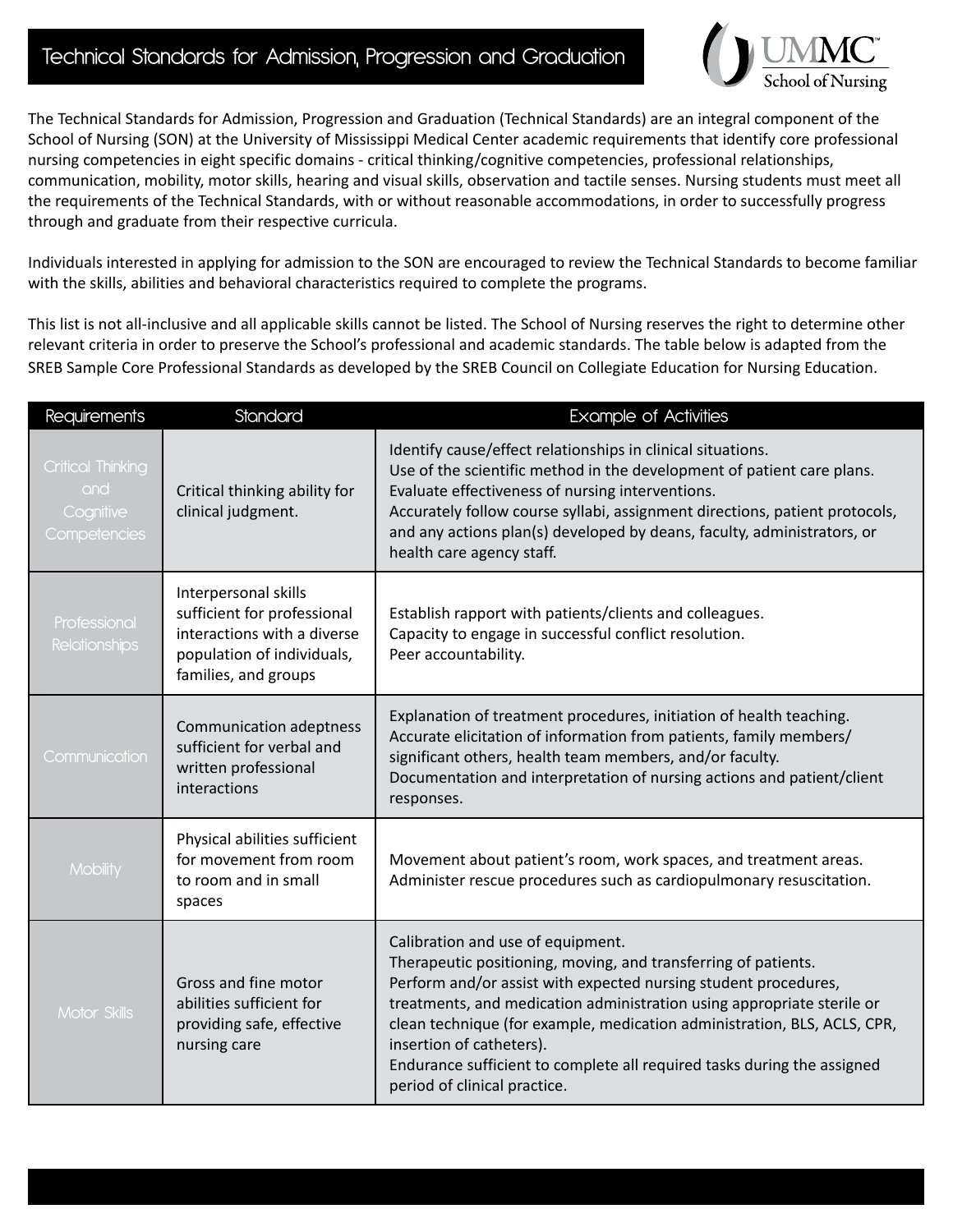## Technical Standards for Admission, Progression and Graduation



The Technical Standards for Admission, Progression and Graduation (Technical Standards) are an integral component of the School of Nursing (SON) at the University of Mississippi Medical Center academic requirements that identify core professional nursing competencies in eight specific domains - critical thinking/cognitive competencies, professional relationships, communication, mobility, motor skills, hearing and visual skills, observation and tactile senses. Nursing students must meet all the requirements of the Technical Standards, with or without reasonable accommodations, in order to successfully progress through and graduate from their respective curricula.

Individuals interested in applying for admission to the SON are encouraged to review the Technical Standards to become familiar with the skills, abilities and behavioral characteristics required to complete the programs.

This list is not all-inclusive and all applicable skills cannot be listed. The School of Nursing reserves the right to determine other relevant criteria in order to preserve the School's professional and academic standards. The table below is adapted from the SREB Sample Core Professional Standards as developed by the SREB Council on Collegiate Education for Nursing Education.

| <b>Requirements</b>                                          | Standard                                                                                                                                 | <b>Example of Activities</b>                                                                                                                                                                                                                                                                                                                                                                                                                                        |
|--------------------------------------------------------------|------------------------------------------------------------------------------------------------------------------------------------------|---------------------------------------------------------------------------------------------------------------------------------------------------------------------------------------------------------------------------------------------------------------------------------------------------------------------------------------------------------------------------------------------------------------------------------------------------------------------|
| <b>Critical Thinking</b><br>and<br>Cognitive<br>Competencies | Critical thinking ability for<br>clinical judgment.                                                                                      | Identify cause/effect relationships in clinical situations.<br>Use of the scientific method in the development of patient care plans.<br>Evaluate effectiveness of nursing interventions.<br>Accurately follow course syllabi, assignment directions, patient protocols,<br>and any actions plan(s) developed by deans, faculty, administrators, or<br>health care agency staff.                                                                                    |
| Professional<br><b>Relationships</b>                         | Interpersonal skills<br>sufficient for professional<br>interactions with a diverse<br>population of individuals,<br>families, and groups | Establish rapport with patients/clients and colleagues.<br>Capacity to engage in successful conflict resolution.<br>Peer accountability.                                                                                                                                                                                                                                                                                                                            |
| Communication                                                | Communication adeptness<br>sufficient for verbal and<br>written professional<br>interactions                                             | Explanation of treatment procedures, initiation of health teaching.<br>Accurate elicitation of information from patients, family members/<br>significant others, health team members, and/or faculty.<br>Documentation and interpretation of nursing actions and patient/client<br>responses.                                                                                                                                                                       |
| <b>Mobility</b>                                              | Physical abilities sufficient<br>for movement from room<br>to room and in small<br>spaces                                                | Movement about patient's room, work spaces, and treatment areas.<br>Administer rescue procedures such as cardiopulmonary resuscitation.                                                                                                                                                                                                                                                                                                                             |
| Motor Skills                                                 | Gross and fine motor<br>abilities sufficient for<br>providing safe, effective<br>nursing care                                            | Calibration and use of equipment.<br>Therapeutic positioning, moving, and transferring of patients.<br>Perform and/or assist with expected nursing student procedures,<br>treatments, and medication administration using appropriate sterile or<br>clean technique (for example, medication administration, BLS, ACLS, CPR,<br>insertion of catheters).<br>Endurance sufficient to complete all required tasks during the assigned<br>period of clinical practice. |